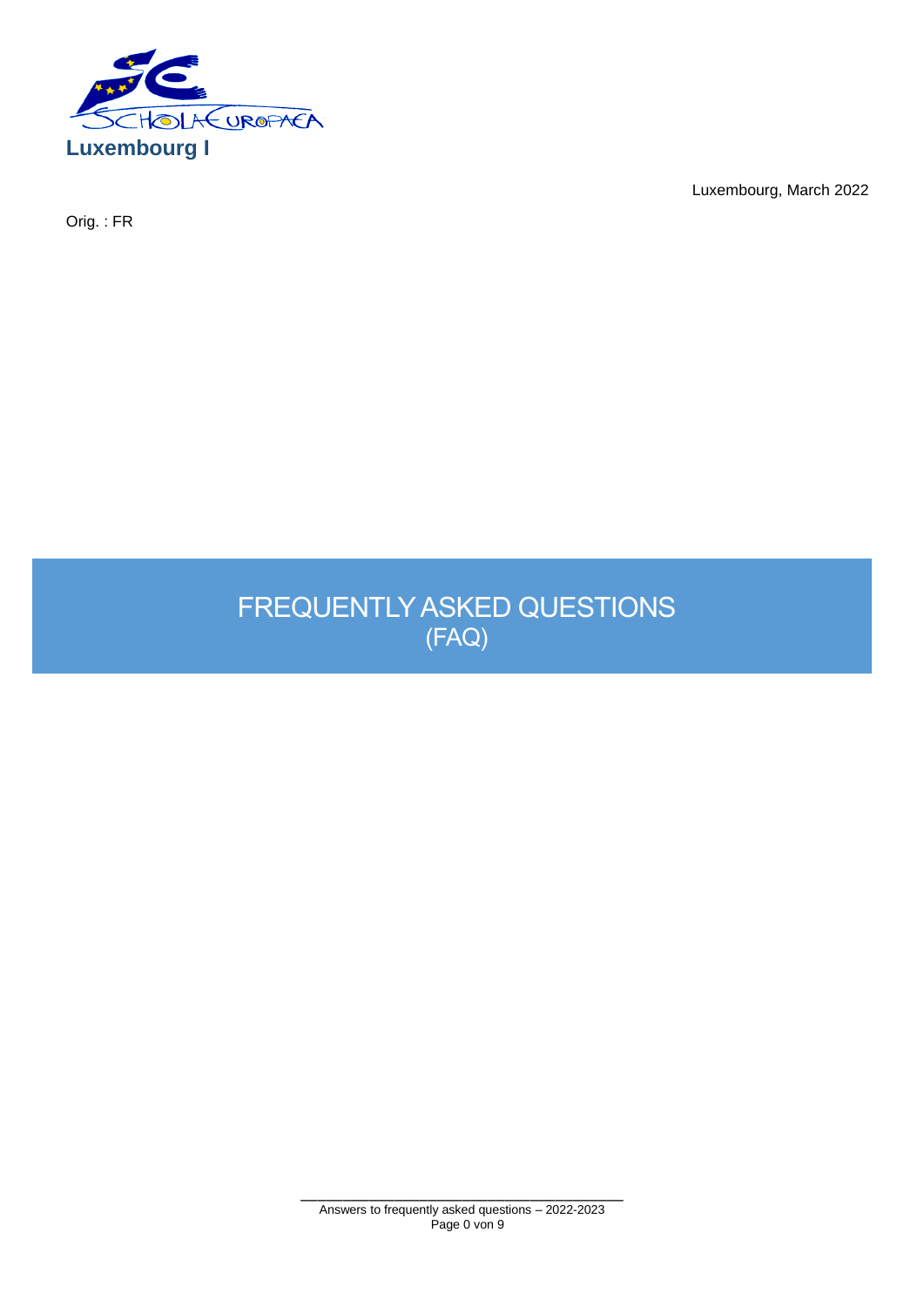

Orig. : FR

Luxembourg, March 2022

FREQUENTLY ASKED QUESTIONS (FAQ)

> \_\_\_\_\_\_\_\_\_\_\_\_\_\_\_\_\_\_\_\_\_\_\_\_\_\_\_\_\_\_\_\_\_\_\_\_\_\_ Answers to frequently asked questions – 2022-2023 Page 0 von 9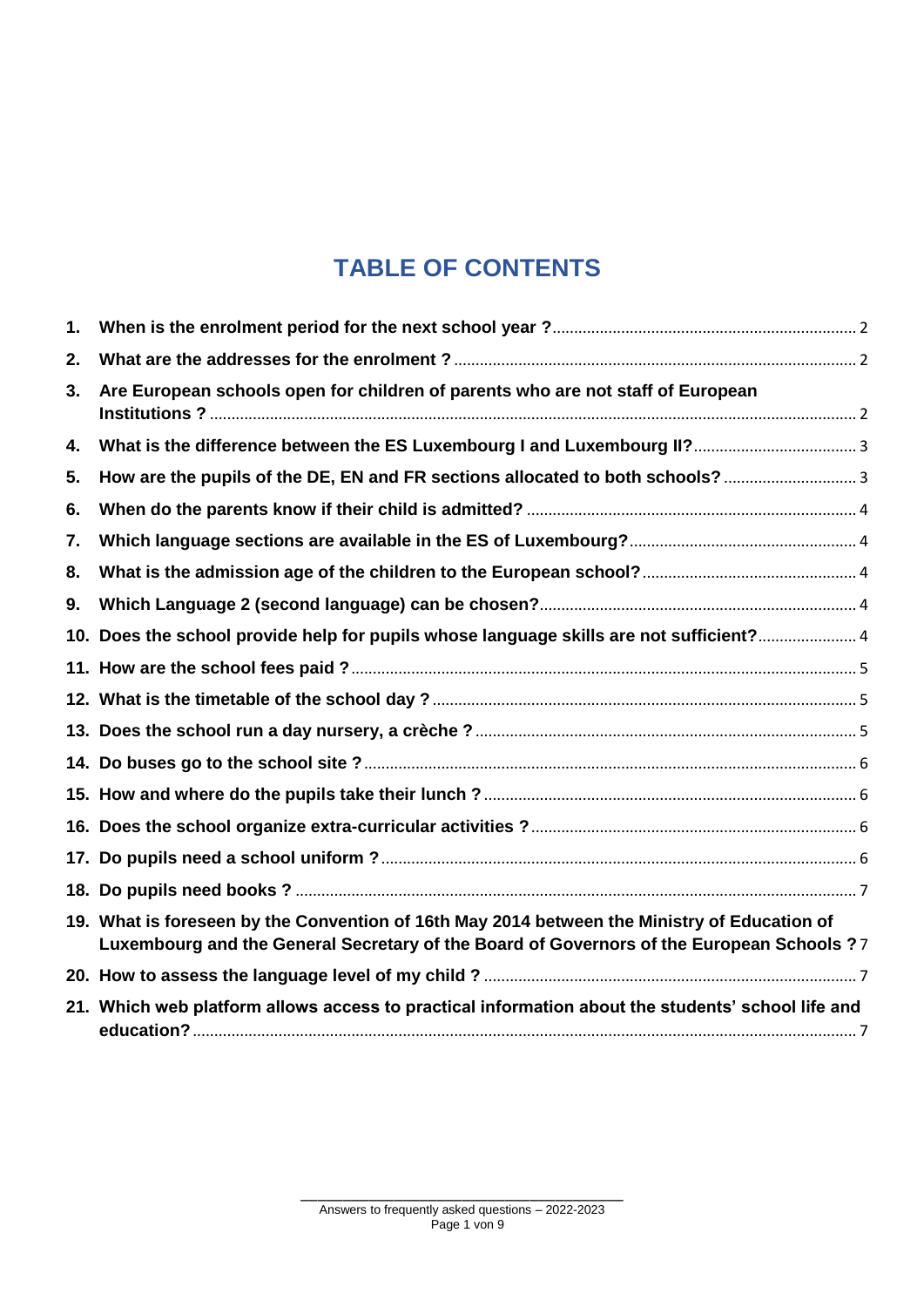# **TABLE OF CONTENTS**

| 1. |                                                                                                                                                                                           |  |
|----|-------------------------------------------------------------------------------------------------------------------------------------------------------------------------------------------|--|
| 2. |                                                                                                                                                                                           |  |
| 3. | Are European schools open for children of parents who are not staff of European                                                                                                           |  |
| 4. |                                                                                                                                                                                           |  |
| 5. |                                                                                                                                                                                           |  |
| 6. |                                                                                                                                                                                           |  |
| 7. |                                                                                                                                                                                           |  |
| 8. |                                                                                                                                                                                           |  |
| 9. |                                                                                                                                                                                           |  |
|    | 10. Does the school provide help for pupils whose language skills are not sufficient? 4                                                                                                   |  |
|    |                                                                                                                                                                                           |  |
|    |                                                                                                                                                                                           |  |
|    |                                                                                                                                                                                           |  |
|    |                                                                                                                                                                                           |  |
|    |                                                                                                                                                                                           |  |
|    |                                                                                                                                                                                           |  |
|    |                                                                                                                                                                                           |  |
|    |                                                                                                                                                                                           |  |
|    | 19. What is foreseen by the Convention of 16th May 2014 between the Ministry of Education of<br>Luxembourg and the General Secretary of the Board of Governors of the European Schools ?7 |  |
|    |                                                                                                                                                                                           |  |
|    | 21. Which web platform allows access to practical information about the students' school life and                                                                                         |  |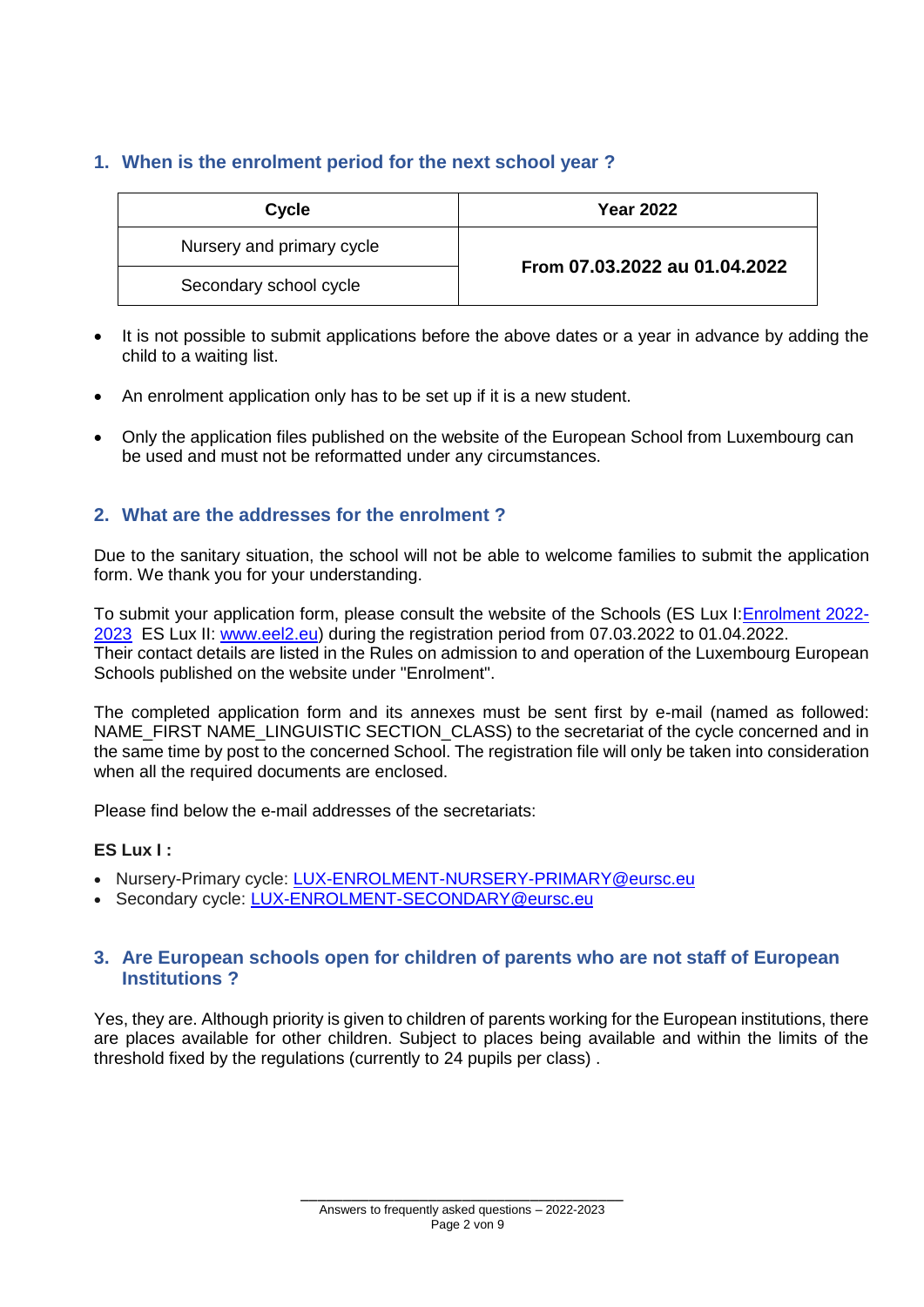# <span id="page-2-0"></span>**1. When is the enrolment period for the next school year ?**

| Cycle                     | <b>Year 2022</b>              |  |
|---------------------------|-------------------------------|--|
| Nursery and primary cycle | From 07.03.2022 au 01.04.2022 |  |
| Secondary school cycle    |                               |  |

- It is not possible to submit applications before the above dates or a year in advance by adding the child to a waiting list.
- An enrolment application only has to be set up if it is a new student.
- Only the application files published on the website of the European School from Luxembourg can be used and must not be reformatted under any circumstances.

# <span id="page-2-1"></span>**2. What are the addresses for the enrolment ?**

Due to the sanitary situation, the school will not be able to welcome families to submit the application form. We thank you for your understanding.

To submit your application form, please consult the website of the Schools (ES Lux I[:Enrolment 2022-](http://www.euroschool.lu/site/enrolment/) [2023](http://www.euroschool.lu/site/enrolment/) ES Lux II: [www.eel2.eu\)](http://www.eel2.eu/) during the registration period from 07.03.2022 to 01.04.2022. Their contact details are listed in the Rules on admission to and operation of the Luxembourg European Schools published on the website under "Enrolment".

The completed application form and its annexes must be sent first by e-mail (named as followed: NAME\_FIRST NAME\_LINGUISTIC SECTION\_CLASS) to the secretariat of the cycle concerned and in the same time by post to the concerned School. The registration file will only be taken into consideration when all the required documents are enclosed.

Please find below the e-mail addresses of the secretariats:

### **ES Lux I :**

- Nursery-Primary cycle: [LUX-ENROLMENT-NURSERY-PRIMARY@eursc.eu](mailto:LUX-ENROLMENT-NURSERY-PRIMARY@eursc.eu)
- Secondary cycle: [LUX-ENROLMENT-SECONDARY@eursc.eu](mailto:LUX-ENROLMENT-SECONDARY@eursc.eu)

### <span id="page-2-2"></span>**3. Are European schools open for children of parents who are not staff of European Institutions ?**

Yes, they are. Although priority is given to children of parents working for the European institutions, there are places available for other children. Subject to places being available and within the limits of the threshold fixed by the regulations (currently to 24 pupils per class) .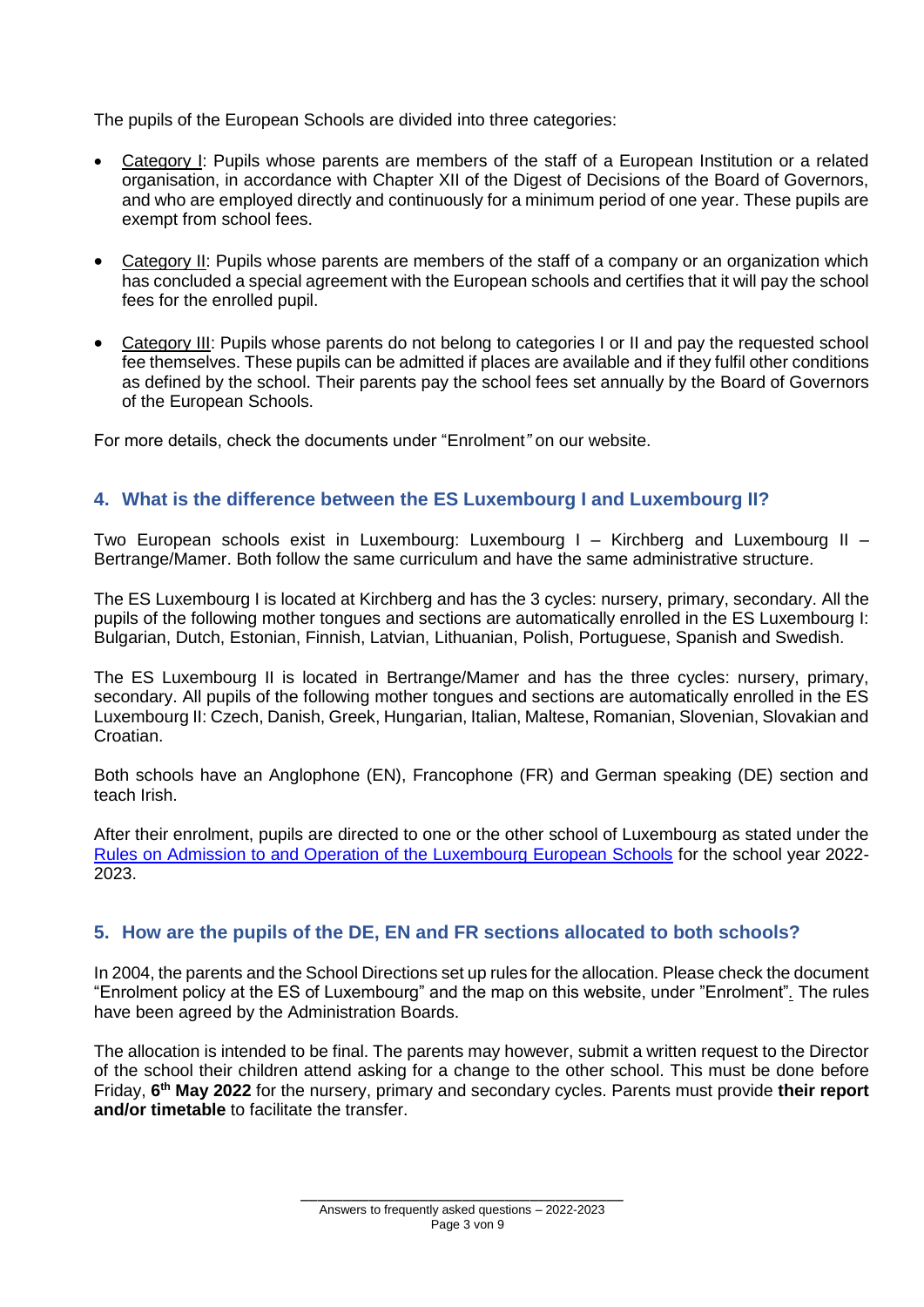The pupils of the European Schools are divided into three categories:

- Category I: Pupils whose parents are members of the staff of a European Institution or a related organisation, in accordance with Chapter XII of the Digest of Decisions of the Board of Governors, and who are employed directly and continuously for a minimum period of one year. These pupils are exempt from school fees.
- Category II: Pupils whose parents are members of the staff of a company or an organization which has concluded a special agreement with the European schools and certifies that it will pay the school fees for the enrolled pupil.
- Category III: Pupils whose parents do not belong to categories I or II and pay the requested school fee themselves. These pupils can be admitted if places are available and if they fulfil other conditions as defined by the school. Their parents pay the school fees set annually by the Board of Governors of the European Schools.

For more details, check the documents under "Enrolment*"* on our website.

# <span id="page-3-0"></span>**4. What is the difference between the ES Luxembourg I and Luxembourg II?**

Two European schools exist in Luxembourg: Luxembourg I – Kirchberg and Luxembourg II – Bertrange/Mamer. Both follow the same curriculum and have the same administrative structure.

The ES Luxembourg I is located at Kirchberg and has the 3 cycles: nursery, primary, secondary. All the pupils of the following mother tongues and sections are automatically enrolled in the ES Luxembourg I: Bulgarian, Dutch, Estonian, Finnish, Latvian, Lithuanian, Polish, Portuguese, Spanish and Swedish.

The ES Luxembourg II is located in Bertrange/Mamer and has the three cycles: nursery, primary, secondary. All pupils of the following mother tongues and sections are automatically enrolled in the ES Luxembourg II: Czech, Danish, Greek, Hungarian, Italian, Maltese, Romanian, Slovenian, Slovakian and Croatian.

Both schools have an Anglophone (EN), Francophone (FR) and German speaking (DE) section and teach Irish.

After their enrolment, pupils are directed to one or the other school of Luxembourg as stated under the [Rules on Admission to and Operation of the Luxembourg European Schools](http://www.euroschool.lu/site/wp-content/uploads/2022/02/2022-2023_Regles-dadmission-et-de-fonctionnement_EE-Lux_EN-final.pdf) for the school year 2022- 2023.

# <span id="page-3-1"></span>**5. How are the pupils of the DE, EN and FR sections allocated to both schools?**

In 2004, the parents and the School Directions set up rules for the allocation. Please check the document "Enrolment policy at the ES of Luxembourg" and the map on this website, under "Enrolment"*.* The rules have been agreed by the Administration Boards.

The allocation is intended to be final. The parents may however, submit a written request to the Director of the school their children attend asking for a change to the other school. This must be done before Friday, **6 th May 2022** for the nursery, primary and secondary cycles. Parents must provide **their report and/or timetable** to facilitate the transfer.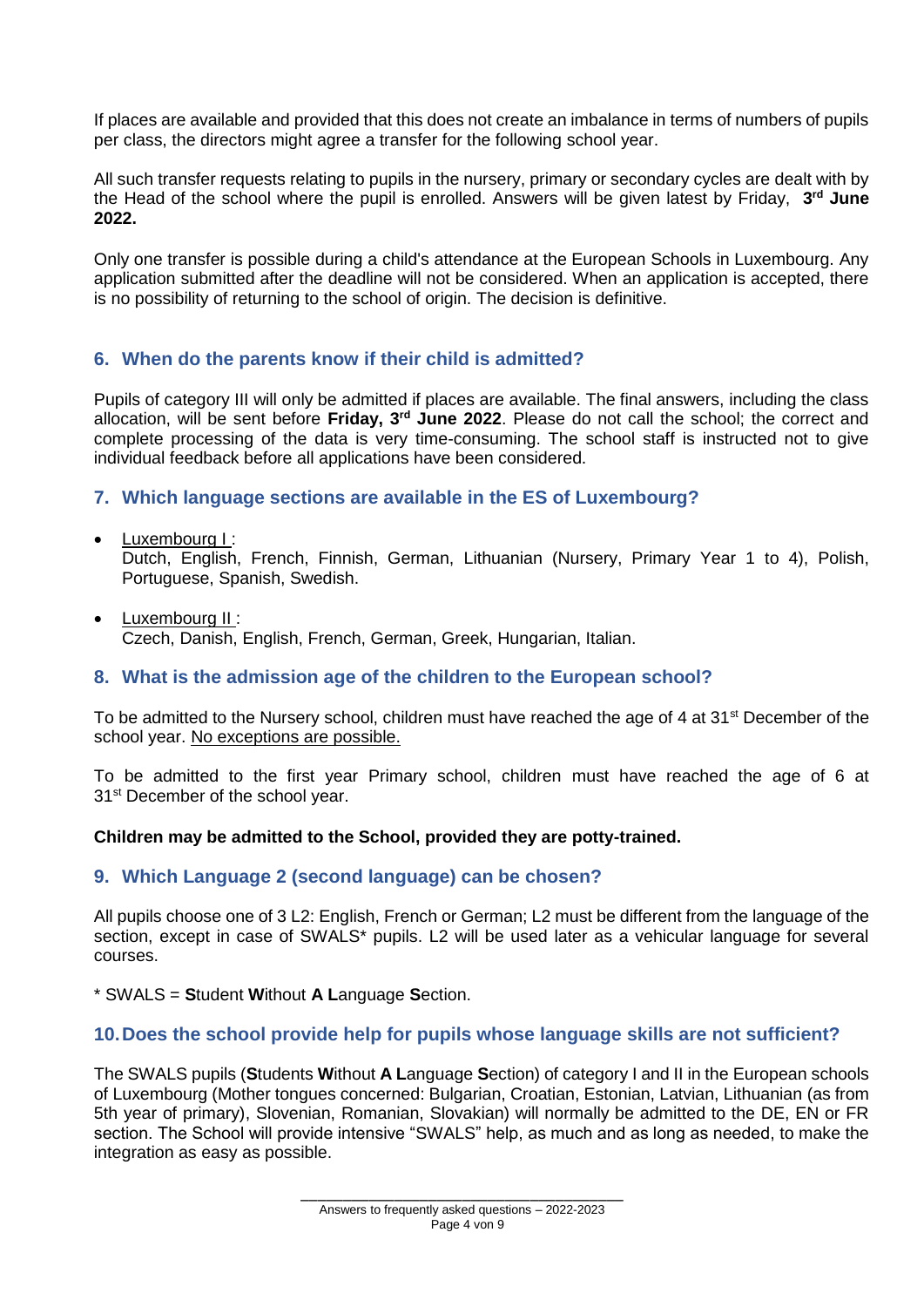If places are available and provided that this does not create an imbalance in terms of numbers of pupils per class, the directors might agree a transfer for the following school year.

All such transfer requests relating to pupils in the nursery, primary or secondary cycles are dealt with by the Head of the school where the pupil is enrolled. Answers will be given latest by Friday, **3 rd June 2022.**

Only one transfer is possible during a child's attendance at the European Schools in Luxembourg. Any application submitted after the deadline will not be considered. When an application is accepted, there is no possibility of returning to the school of origin. The decision is definitive.

# <span id="page-4-0"></span>**6. When do the parents know if their child is admitted?**

Pupils of category III will only be admitted if places are available. The final answers, including the class allocation, will be sent before **Friday, 3 rd June 2022**. Please do not call the school; the correct and complete processing of the data is very time-consuming. The school staff is instructed not to give individual feedback before all applications have been considered.

# <span id="page-4-1"></span>**7. Which language sections are available in the ES of Luxembourg?**

- Luxembourg I : Dutch, English, French, Finnish, German, Lithuanian (Nursery, Primary Year 1 to 4), Polish, Portuguese, Spanish, Swedish.
- Luxembourg II : Czech, Danish, English, French, German, Greek, Hungarian, Italian.

# <span id="page-4-2"></span>**8. What is the admission age of the children to the European school?**

To be admitted to the Nursery school, children must have reached the age of 4 at 31<sup>st</sup> December of the school year. No exceptions are possible.

To be admitted to the first year Primary school, children must have reached the age of 6 at 31<sup>st</sup> December of the school year.

### **Children may be admitted to the School, provided they are potty-trained.**

# <span id="page-4-3"></span>**9. Which Language 2 (second language) can be chosen?**

All pupils choose one of 3 L2: English, French or German; L2 must be different from the language of the section, except in case of SWALS\* pupils. L2 will be used later as a vehicular language for several courses.

\* SWALS = **S**tudent **W**ithout **A L**anguage **S**ection.

### <span id="page-4-4"></span>**10.Does the school provide help for pupils whose language skills are not sufficient?**

The SWALS pupils (**S**tudents **W**ithout **A L**anguage **S**ection) of category I and II in the European schools of Luxembourg (Mother tongues concerned: Bulgarian, Croatian, Estonian, Latvian, Lithuanian (as from 5th year of primary), Slovenian, Romanian, Slovakian) will normally be admitted to the DE, EN or FR section. The School will provide intensive "SWALS" help, as much and as long as needed, to make the integration as easy as possible.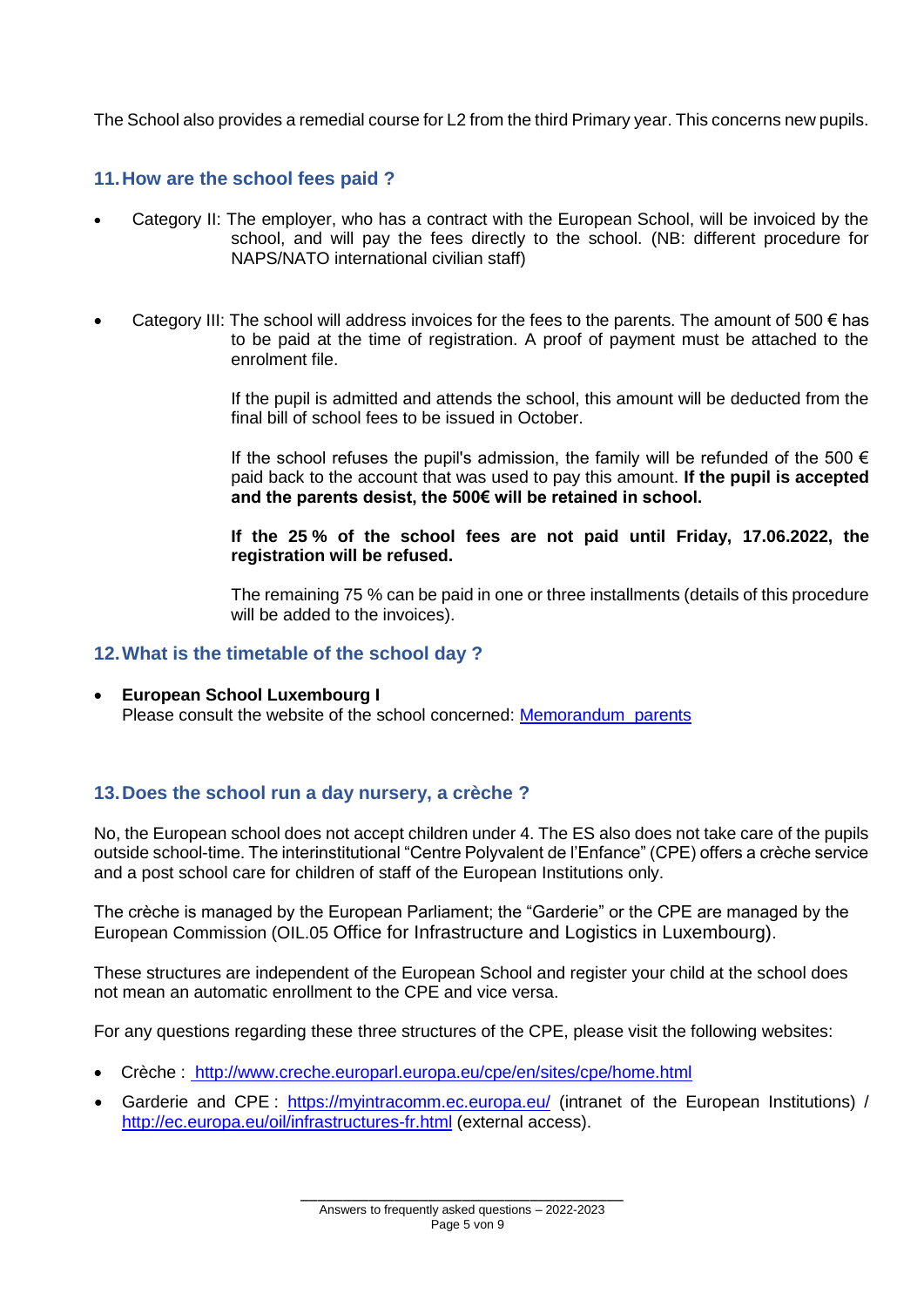The School also provides a remedial course for L2 from the third Primary year. This concerns new pupils.

# <span id="page-5-0"></span>**11.How are the school fees paid ?**

- Category II: The employer, who has a contract with the European School, will be invoiced by the school, and will pay the fees directly to the school. (NB: different procedure for NAPS/NATO international civilian staff)
- Category III: The school will address invoices for the fees to the parents. The amount of 500  $\epsilon$  has to be paid at the time of registration. A proof of payment must be attached to the enrolment file.

If the pupil is admitted and attends the school, this amount will be deducted from the final bill of school fees to be issued in October.

If the school refuses the pupil's admission, the family will be refunded of the 500  $\epsilon$ paid back to the account that was used to pay this amount. **If the pupil is accepted and the parents desist, the 500€ will be retained in school.** 

**If the 25 % of the school fees are not paid until Friday, 17.06.2022, the registration will be refused.**

The remaining 75 % can be paid in one or three installments (details of this procedure will be added to the invoices).

### <span id="page-5-1"></span>**12.What is the timetable of the school day ?**

• **European School Luxembourg I** Please consult the website of the school concerned: [Memorandum\\_parents](http://www.euroschool.lu/site/wp-content/uploads/2021/12/Memorandum_parents_EN_2021-2022-16-12-2021.pdf)

# <span id="page-5-2"></span>**13.Does the school run a day nursery, a crèche ?**

No, the European school does not accept children under 4. The ES also does not take care of the pupils outside school-time. The interinstitutional "Centre Polyvalent de l'Enfance" (CPE) offers a crèche service and a post school care for children of staff of the European Institutions only.

The crèche is managed by the European Parliament; the "Garderie" or the CPE are managed by the European Commission (OIL.05 Office for Infrastructure and Logistics in Luxembourg).

These structures are independent of the European School and register your child at the school does not mean an automatic enrollment to the CPE and vice versa.

For any questions regarding these three structures of the CPE, please visit the following websites:

- Crèche : <http://www.creche.europarl.europa.eu/cpe/en/sites/cpe/home.html>
- Garderie and CPE : <https://myintracomm.ec.europa.eu/> (intranet of the European Institutions) / <http://ec.europa.eu/oil/infrastructures-fr.html> (external access).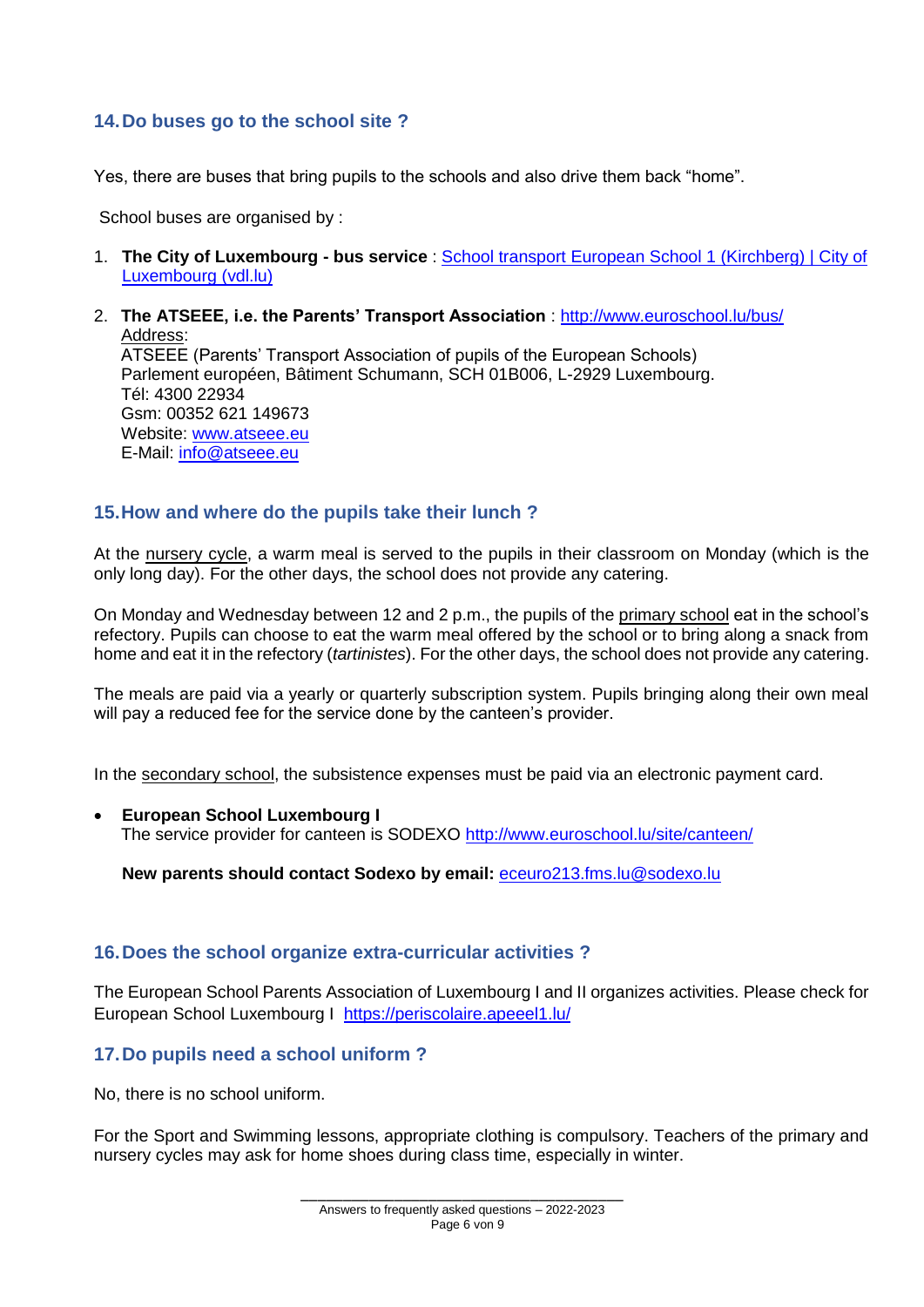# <span id="page-6-0"></span>**14.Do buses go to the school site ?**

Yes, there are buses that bring pupils to the schools and also drive them back "home".

School buses are organised by :

- 1. **The City of Luxembourg - bus service** : [School transport European School 1 \(Kirchberg\) | City of](https://www.vdl.lu/fr/se-deplacer/en-bus/transport-scolaire/courses-scolaires-pour-lenseignement-secondaire/transport-scolaire-ecole-europeenne-1-kirchberg)  [Luxembourg \(vdl.lu\)](https://www.vdl.lu/fr/se-deplacer/en-bus/transport-scolaire/courses-scolaires-pour-lenseignement-secondaire/transport-scolaire-ecole-europeenne-1-kirchberg)
- 2. **The ATSEEE, i.e. the Parents' Transport Association** :<http://www.euroschool.lu/bus/> Address: ATSEEE (Parents' Transport Association of pupils of the European Schools) Parlement européen, Bâtiment Schumann, SCH 01B006, L-2929 Luxembourg. Tél: 4300 22934 Gsm: 00352 621 149673 Website: [www.atseee.eu](http://www.atseee.eu/)

E-Mail: [info@atseee.eu](mailto:info@atseee.eu)

### <span id="page-6-1"></span>**15.How and where do the pupils take their lunch ?**

At the nursery cycle, a warm meal is served to the pupils in their classroom on Monday (which is the only long day). For the other days, the school does not provide any catering.

On Monday and Wednesday between 12 and 2 p.m., the pupils of the primary school eat in the school's refectory. Pupils can choose to eat the warm meal offered by the school or to bring along a snack from home and eat it in the refectory (*tartinistes*). For the other days, the school does not provide any catering.

The meals are paid via a yearly or quarterly subscription system. Pupils bringing along their own meal will pay a reduced fee for the service done by the canteen's provider.

In the secondary school, the subsistence expenses must be paid via an electronic payment card.

• **European School Luxembourg I** The service provider for canteen is SODEXO <http://www.euroschool.lu/site/canteen/>

**New parents should contact Sodexo by email:** [eceuro213.fms.lu@sodexo.lu](mailto:eceuro213.fms.lu@sodexo.lu)

### <span id="page-6-2"></span>**16.Does the school organize extra-curricular activities ?**

The European School Parents Association of Luxembourg I and II organizes activities. Please check for European School Luxembourg I <https://periscolaire.apeeel1.lu/>

# <span id="page-6-3"></span>**17.Do pupils need a school uniform ?**

No, there is no school uniform.

For the Sport and Swimming lessons, appropriate clothing is compulsory. Teachers of the primary and nursery cycles may ask for home shoes during class time, especially in winter.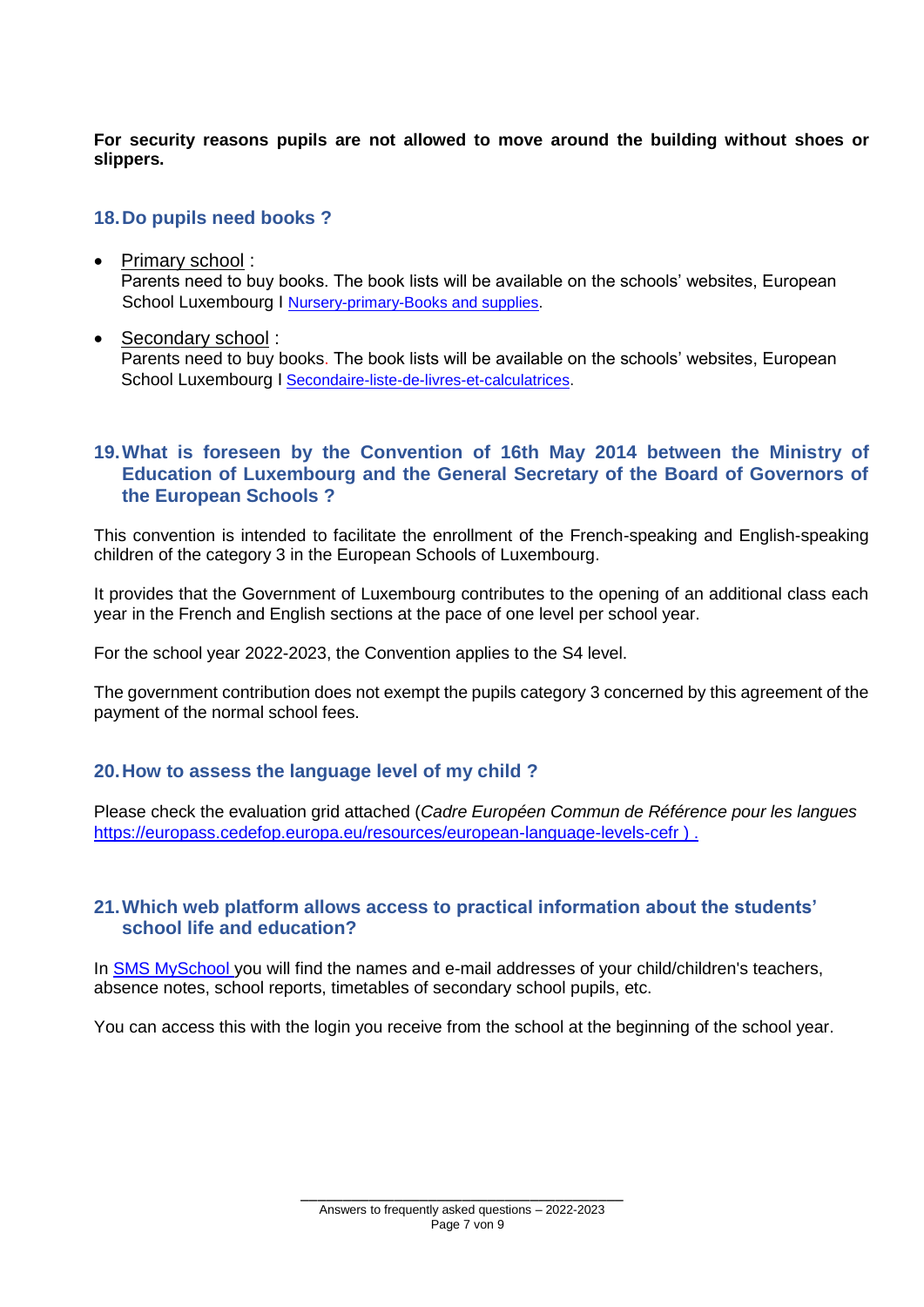**For security reasons pupils are not allowed to move around the building without shoes or slippers.**

### <span id="page-7-0"></span>**18.Do pupils need books ?**

- Primary school: Parents need to buy books. The book lists will be available on the schools' websites, European School Luxembourg I [Nursery-primary-Books and supplies.](http://www.euroschool.lu/site/nursery-primary-list-books/)
- Secondary school : Parents need to buy books. The book lists will be available on the schools' websites, European School Luxembourg I [Secondaire-liste-de-livres-et-calculatrices.](http://www.euroschool.lu/site/fr/secondaire-liste-de-livres-et-calculatrices/)

# <span id="page-7-1"></span>**19.What is foreseen by the Convention of 16th May 2014 between the Ministry of Education of Luxembourg and the General Secretary of the Board of Governors of the European Schools ?**

This convention is intended to facilitate the enrollment of the French-speaking and English-speaking children of the category 3 in the European Schools of Luxembourg.

It provides that the Government of Luxembourg contributes to the opening of an additional class each year in the French and English sections at the pace of one level per school year.

For the school year 2022-2023, the Convention applies to the S4 level.

The government contribution does not exempt the pupils category 3 concerned by this agreement of the payment of the normal school fees.

# <span id="page-7-2"></span>**20.How to assess the language level of my child ?**

Please check the evaluation grid attached (*Cadre Européen Commun de Référence pour les langues* <https://europass.cedefop.europa.eu/resources/european-language-levels-cefr> ) .

# <span id="page-7-3"></span>**21.Which web platform allows access to practical information about the students' school life and education?**

In [SMS MySchool](http://www.euroschool.lu/site/login/) you will find the names and e-mail addresses of your child/children's teachers, absence notes, school reports, timetables of secondary school pupils, etc.

You can access this with the login you receive from the school at the beginning of the school year.